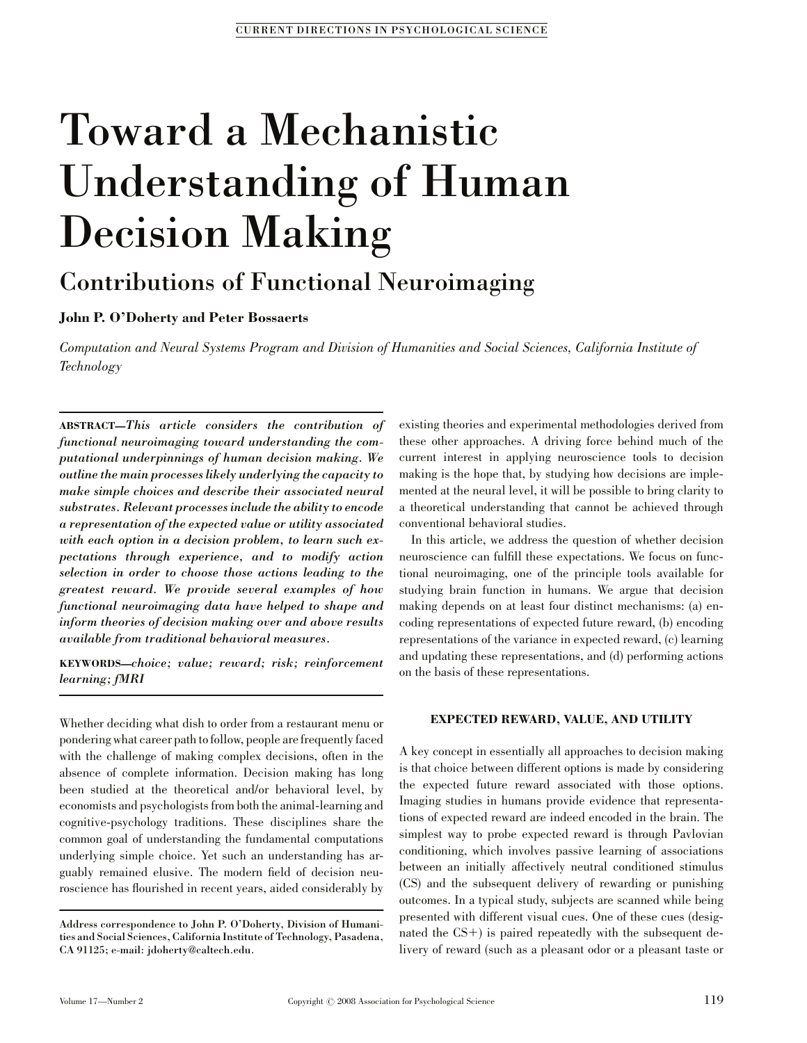# Toward a Mechanistic Understanding of Human Decision Making

# Contributions of Functional Neuroimaging

John P. O'Doherty and Peter Bossaerts

Computation and Neural Systems Program and Division of Humanities and Social Sciences, California Institute of Technology

ABSTRACT—This article considers the contribution of functional neuroimaging toward understanding the computational underpinnings of human decision making. We outline the main processes likely underlying the capacity to make simple choices and describe their associated neural substrates. Relevant processes include the ability to encode a representation of the expected value or utility associated with each option in a decision problem, to learn such expectations through experience, and to modify action selection in order to choose those actions leading to the greatest reward. We provide several examples of how functional neuroimaging data have helped to shape and inform theories of decision making over and above results available from traditional behavioral measures.

KEYWORDS—choice; value; reward; risk; reinforcement learning; fMRI

Whether deciding what dish to order from a restaurant menu or pondering what career path to follow, people are frequently faced with the challenge of making complex decisions, often in the absence of complete information. Decision making has long been studied at the theoretical and/or behavioral level, by economists and psychologists from both the animal-learning and cognitive-psychology traditions. These disciplines share the common goal of understanding the fundamental computations underlying simple choice. Yet such an understanding has arguably remained elusive. The modern field of decision neuroscience has flourished in recent years, aided considerably by existing theories and experimental methodologies derived from these other approaches. A driving force behind much of the current interest in applying neuroscience tools to decision making is the hope that, by studying how decisions are implemented at the neural level, it will be possible to bring clarity to a theoretical understanding that cannot be achieved through conventional behavioral studies.

In this article, we address the question of whether decision neuroscience can fulfill these expectations. We focus on functional neuroimaging, one of the principle tools available for studying brain function in humans. We argue that decision making depends on at least four distinct mechanisms: (a) encoding representations of expected future reward, (b) encoding representations of the variance in expected reward, (c) learning and updating these representations, and (d) performing actions on the basis of these representations.

# EXPECTED REWARD, VALUE, AND UTILITY

A key concept in essentially all approaches to decision making is that choice between different options is made by considering the expected future reward associated with those options. Imaging studies in humans provide evidence that representations of expected reward are indeed encoded in the brain. The simplest way to probe expected reward is through Pavlovian conditioning, which involves passive learning of associations between an initially affectively neutral conditioned stimulus (CS) and the subsequent delivery of rewarding or punishing outcomes. In a typical study, subjects are scanned while being presented with different visual cues. One of these cues (designated the  $(S+)$  is paired repeatedly with the subsequent delivery of reward (such as a pleasant odor or a pleasant taste or

Address correspondence to John P. O'Doherty, Division of Humanities and Social Sciences, California Institute of Technology, Pasadena, CA 91125; e-mail: jdoherty@caltech.edu.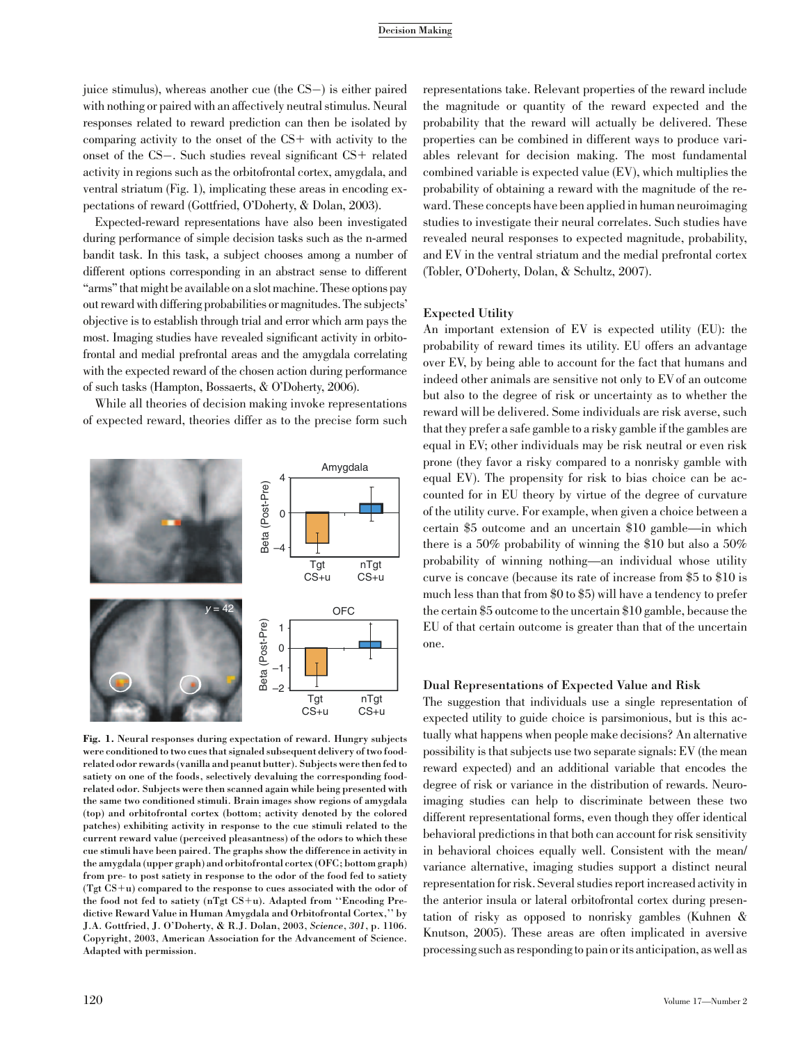juice stimulus), whereas another cue (the CS-) is either paired with nothing or paired with an affectively neutral stimulus. Neural responses related to reward prediction can then be isolated by comparing activity to the onset of the  $CS+$  with activity to the onset of the CS-. Such studies reveal significant CS+ related activity in regions such as the orbitofrontal cortex, amygdala, and ventral striatum (Fig. 1), implicating these areas in encoding expectations of reward (Gottfried, O'Doherty, & Dolan, 2003).

Expected-reward representations have also been investigated during performance of simple decision tasks such as the n-armed bandit task. In this task, a subject chooses among a number of different options corresponding in an abstract sense to different ''arms''that might be available on a slot machine. These options pay out reward with differing probabilities or magnitudes. The subjects' objective is to establish through trial and error which arm pays the most. Imaging studies have revealed significant activity in orbitofrontal and medial prefrontal areas and the amygdala correlating with the expected reward of the chosen action during performance of such tasks (Hampton, Bossaerts, & O'Doherty, 2006).

While all theories of decision making invoke representations of expected reward, theories differ as to the precise form such



Fig. 1. Neural responses during expectation of reward. Hungry subjects were conditioned to two cues that signaled subsequent delivery of two foodrelated odor rewards (vanilla and peanut butter). Subjects were then fed to satiety on one of the foods, selectively devaluing the corresponding foodrelated odor. Subjects were then scanned again while being presented with the same two conditioned stimuli. Brain images show regions of amygdala (top) and orbitofrontal cortex (bottom; activity denoted by the colored patches) exhibiting activity in response to the cue stimuli related to the current reward value (perceived pleasantness) of the odors to which these cue stimuli have been paired. The graphs show the difference in activity in the amygdala (upper graph) and orbitofrontal cortex (OFC; bottom graph) from pre- to post satiety in response to the odor of the food fed to satiety (Tgt  $CS+u$ ) compared to the response to cues associated with the odor of the food not fed to satiety (nTgt  $CS+u$ ). Adapted from "Encoding Predictive Reward Value in Human Amygdala and Orbitofrontal Cortex,'' by J.A. Gottfried, J. O'Doherty, & R.J. Dolan, 2003, Science, 301, p. 1106. Copyright, 2003, American Association for the Advancement of Science. Adapted with permission.

representations take. Relevant properties of the reward include the magnitude or quantity of the reward expected and the probability that the reward will actually be delivered. These properties can be combined in different ways to produce variables relevant for decision making. The most fundamental combined variable is expected value (EV), which multiplies the probability of obtaining a reward with the magnitude of the reward. These concepts have been applied in human neuroimaging studies to investigate their neural correlates. Such studies have revealed neural responses to expected magnitude, probability, and EV in the ventral striatum and the medial prefrontal cortex (Tobler, O'Doherty, Dolan, & Schultz, 2007).

# Expected Utility

An important extension of EV is expected utility (EU): the probability of reward times its utility. EU offers an advantage over EV, by being able to account for the fact that humans and indeed other animals are sensitive not only to EVof an outcome but also to the degree of risk or uncertainty as to whether the reward will be delivered. Some individuals are risk averse, such that they prefer a safe gamble to a risky gamble if the gambles are equal in EV; other individuals may be risk neutral or even risk prone (they favor a risky compared to a nonrisky gamble with equal EV). The propensity for risk to bias choice can be accounted for in EU theory by virtue of the degree of curvature of the utility curve. For example, when given a choice between a certain \$5 outcome and an uncertain \$10 gamble—in which there is a 50% probability of winning the \$10 but also a 50% probability of winning nothing—an individual whose utility curve is concave (because its rate of increase from \$5 to \$10 is much less than that from \$0 to \$5) will have a tendency to prefer the certain \$5 outcome to the uncertain \$10 gamble, because the EU of that certain outcome is greater than that of the uncertain one.

# Dual Representations of Expected Value and Risk

The suggestion that individuals use a single representation of expected utility to guide choice is parsimonious, but is this actually what happens when people make decisions? An alternative possibility is that subjects use two separate signals: EV (the mean reward expected) and an additional variable that encodes the degree of risk or variance in the distribution of rewards. Neuroimaging studies can help to discriminate between these two different representational forms, even though they offer identical behavioral predictions in that both can account for risk sensitivity in behavioral choices equally well. Consistent with the mean/ variance alternative, imaging studies support a distinct neural representation for risk. Several studies report increased activity in the anterior insula or lateral orbitofrontal cortex during presentation of risky as opposed to nonrisky gambles (Kuhnen & Knutson, 2005). These areas are often implicated in aversive processing such as respondingto pain orits anticipation, as well as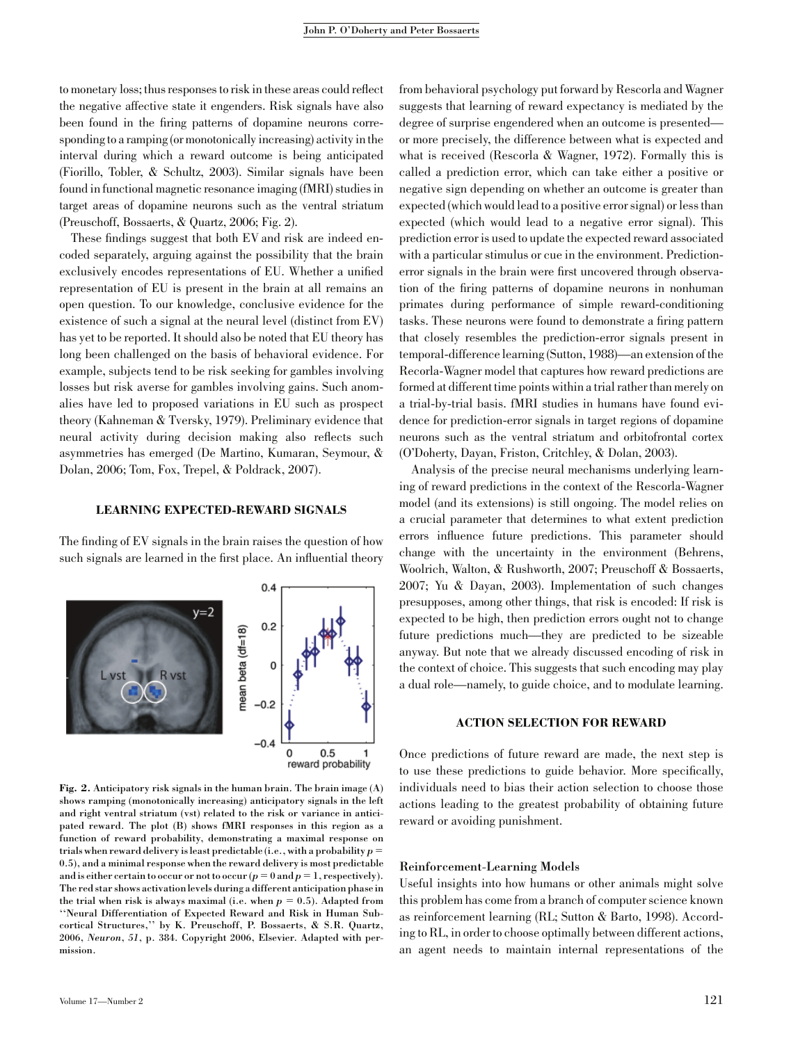to monetary loss; thus responses to risk in these areas could reflect the negative affective state it engenders. Risk signals have also been found in the firing patterns of dopamine neurons corresponding to a ramping (or monotonically increasing) activity in the interval during which a reward outcome is being anticipated (Fiorillo, Tobler, & Schultz, 2003). Similar signals have been found in functional magnetic resonance imaging (fMRI) studies in target areas of dopamine neurons such as the ventral striatum (Preuschoff, Bossaerts, & Quartz, 2006; Fig. 2).

These findings suggest that both EV and risk are indeed encoded separately, arguing against the possibility that the brain exclusively encodes representations of EU. Whether a unified representation of EU is present in the brain at all remains an open question. To our knowledge, conclusive evidence for the existence of such a signal at the neural level (distinct from EV) has yet to be reported. It should also be noted that EU theory has long been challenged on the basis of behavioral evidence. For example, subjects tend to be risk seeking for gambles involving losses but risk averse for gambles involving gains. Such anomalies have led to proposed variations in EU such as prospect theory (Kahneman & Tversky, 1979). Preliminary evidence that neural activity during decision making also reflects such asymmetries has emerged (De Martino, Kumaran, Seymour, & Dolan, 2006; Tom, Fox, Trepel, & Poldrack, 2007).

# LEARNING EXPECTED-REWARD SIGNALS

The finding of EV signals in the brain raises the question of how such signals are learned in the first place. An influential theory



Fig. 2. Anticipatory risk signals in the human brain. The brain image (A) shows ramping (monotonically increasing) anticipatory signals in the left and right ventral striatum (vst) related to the risk or variance in anticipated reward. The plot (B) shows fMRI responses in this region as a function of reward probability, demonstrating a maximal response on trials when reward delivery is least predictable (i.e., with a probability  $p =$ 0.5), and a minimal response when the reward delivery is most predictable and is either certain to occur or not to occur  $(p = 0 \text{ and } p = 1,$  respectively). The red star shows activationlevels during a different anticipation phase in the trial when risk is always maximal (i.e. when  $p = 0.5$ ). Adapted from ''Neural Differentiation of Expected Reward and Risk in Human Subcortical Structures,'' by K. Preuschoff, P. Bossaerts, & S.R. Quartz, 2006, Neuron, 51, p. 384. Copyright 2006, Elsevier. Adapted with permission.

from behavioral psychology put forward by Rescorla and Wagner suggests that learning of reward expectancy is mediated by the degree of surprise engendered when an outcome is presented or more precisely, the difference between what is expected and what is received (Rescorla & Wagner, 1972). Formally this is called a prediction error, which can take either a positive or negative sign depending on whether an outcome is greater than expected (which would lead to a positive error signal) or less than expected (which would lead to a negative error signal). This prediction error is used to update the expected reward associated with a particular stimulus or cue in the environment. Predictionerror signals in the brain were first uncovered through observation of the firing patterns of dopamine neurons in nonhuman primates during performance of simple reward-conditioning tasks. These neurons were found to demonstrate a firing pattern that closely resembles the prediction-error signals present in temporal-difference learning (Sutton, 1988)—an extension of the Recorla-Wagner model that captures how reward predictions are formed at different time points within a trial rather than merely on a trial-by-trial basis. fMRI studies in humans have found evidence for prediction-error signals in target regions of dopamine neurons such as the ventral striatum and orbitofrontal cortex (O'Doherty, Dayan, Friston, Critchley, & Dolan, 2003).

Analysis of the precise neural mechanisms underlying learning of reward predictions in the context of the Rescorla-Wagner model (and its extensions) is still ongoing. The model relies on a crucial parameter that determines to what extent prediction errors influence future predictions. This parameter should change with the uncertainty in the environment (Behrens, Woolrich, Walton, & Rushworth, 2007; Preuschoff & Bossaerts, 2007; Yu & Dayan, 2003). Implementation of such changes presupposes, among other things, that risk is encoded: If risk is expected to be high, then prediction errors ought not to change future predictions much—they are predicted to be sizeable anyway. But note that we already discussed encoding of risk in the context of choice. This suggests that such encoding may play a dual role—namely, to guide choice, and to modulate learning.

#### ACTION SELECTION FOR REWARD

Once predictions of future reward are made, the next step is to use these predictions to guide behavior. More specifically, individuals need to bias their action selection to choose those actions leading to the greatest probability of obtaining future reward or avoiding punishment.

#### Reinforcement-Learning Models

Useful insights into how humans or other animals might solve this problem has come from a branch of computer science known as reinforcement learning (RL; Sutton & Barto, 1998). According to RL, in order to choose optimally between different actions, an agent needs to maintain internal representations of the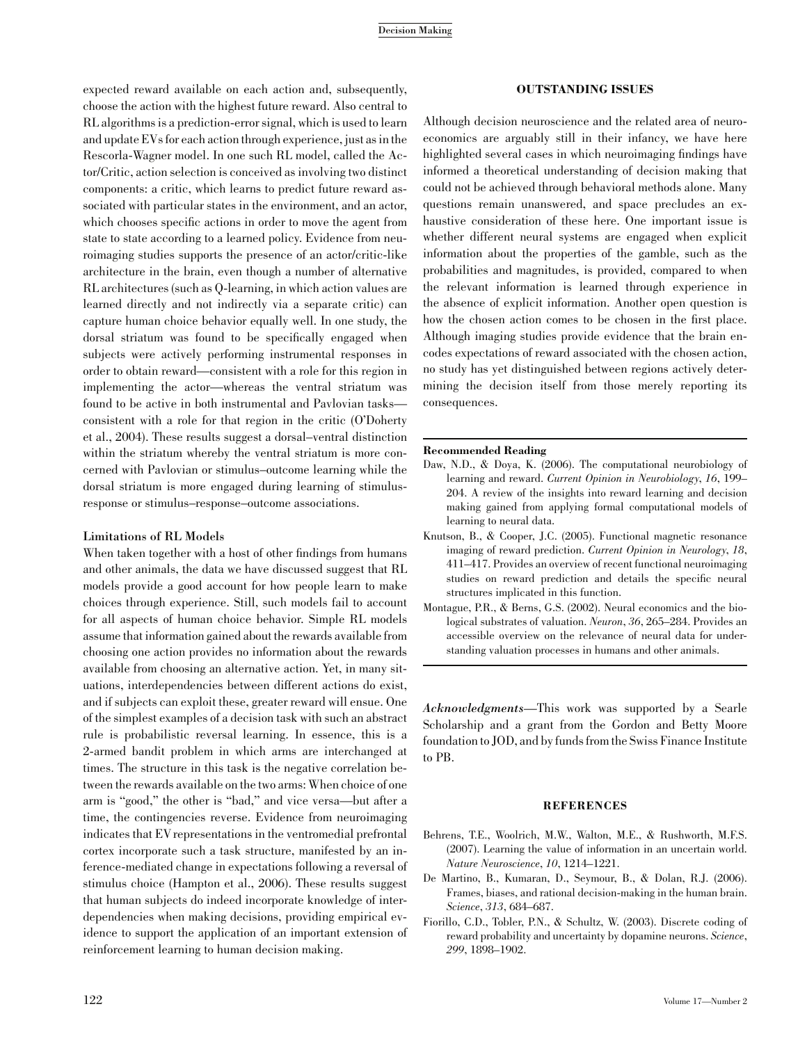expected reward available on each action and, subsequently, choose the action with the highest future reward. Also central to RL algorithms is a prediction-error signal, which is used to learn and update EVs for each action through experience, just as in the Rescorla-Wagner model. In one such RL model, called the Actor/Critic, action selection is conceived as involving two distinct components: a critic, which learns to predict future reward associated with particular states in the environment, and an actor, which chooses specific actions in order to move the agent from state to state according to a learned policy. Evidence from neuroimaging studies supports the presence of an actor/critic-like architecture in the brain, even though a number of alternative RL architectures (such as Q-learning, in which action values are learned directly and not indirectly via a separate critic) can capture human choice behavior equally well. In one study, the dorsal striatum was found to be specifically engaged when subjects were actively performing instrumental responses in order to obtain reward—consistent with a role for this region in implementing the actor—whereas the ventral striatum was found to be active in both instrumental and Pavlovian tasks consistent with a role for that region in the critic (O'Doherty et al., 2004). These results suggest a dorsal–ventral distinction within the striatum whereby the ventral striatum is more concerned with Pavlovian or stimulus–outcome learning while the dorsal striatum is more engaged during learning of stimulusresponse or stimulus–response–outcome associations.

## Limitations of RL Models

When taken together with a host of other findings from humans and other animals, the data we have discussed suggest that RL models provide a good account for how people learn to make choices through experience. Still, such models fail to account for all aspects of human choice behavior. Simple RL models assume that information gained about the rewards available from choosing one action provides no information about the rewards available from choosing an alternative action. Yet, in many situations, interdependencies between different actions do exist, and if subjects can exploit these, greater reward will ensue. One of the simplest examples of a decision task with such an abstract rule is probabilistic reversal learning. In essence, this is a 2-armed bandit problem in which arms are interchanged at times. The structure in this task is the negative correlation between the rewards available on the two arms: When choice of one arm is "good," the other is "bad," and vice versa—but after a time, the contingencies reverse. Evidence from neuroimaging indicates that EV representations in the ventromedial prefrontal cortex incorporate such a task structure, manifested by an inference-mediated change in expectations following a reversal of stimulus choice (Hampton et al., 2006). These results suggest that human subjects do indeed incorporate knowledge of interdependencies when making decisions, providing empirical evidence to support the application of an important extension of reinforcement learning to human decision making.

#### OUTSTANDING ISSUES

Although decision neuroscience and the related area of neuroeconomics are arguably still in their infancy, we have here highlighted several cases in which neuroimaging findings have informed a theoretical understanding of decision making that could not be achieved through behavioral methods alone. Many questions remain unanswered, and space precludes an exhaustive consideration of these here. One important issue is whether different neural systems are engaged when explicit information about the properties of the gamble, such as the probabilities and magnitudes, is provided, compared to when the relevant information is learned through experience in the absence of explicit information. Another open question is how the chosen action comes to be chosen in the first place. Although imaging studies provide evidence that the brain encodes expectations of reward associated with the chosen action, no study has yet distinguished between regions actively determining the decision itself from those merely reporting its consequences.

#### Recommended Reading

- Daw, N.D., & Doya, K. (2006). The computational neurobiology of learning and reward. Current Opinion in Neurobiology, 16, 199– 204. A review of the insights into reward learning and decision making gained from applying formal computational models of learning to neural data.
- Knutson, B., & Cooper, J.C. (2005). Functional magnetic resonance imaging of reward prediction. Current Opinion in Neurology, 18, 411–417. Provides an overview of recent functional neuroimaging studies on reward prediction and details the specific neural structures implicated in this function.
- Montague, P.R., & Berns, G.S. (2002). Neural economics and the biological substrates of valuation. Neuron, 36, 265–284. Provides an accessible overview on the relevance of neural data for understanding valuation processes in humans and other animals.

Acknowledgments—This work was supported by a Searle Scholarship and a grant from the Gordon and Betty Moore foundation to JOD, and by funds from the Swiss Finance Institute to PB.

#### REFERENCES

- Behrens, T.E., Woolrich, M.W., Walton, M.E., & Rushworth, M.F.S. (2007). Learning the value of information in an uncertain world. Nature Neuroscience, 10, 1214–1221.
- De Martino, B., Kumaran, D., Seymour, B., & Dolan, R.J. (2006). Frames, biases, and rational decision-making in the human brain. Science, 313, 684–687.
- Fiorillo, C.D., Tobler, P.N., & Schultz, W. (2003). Discrete coding of reward probability and uncertainty by dopamine neurons. Science, 299, 1898–1902.